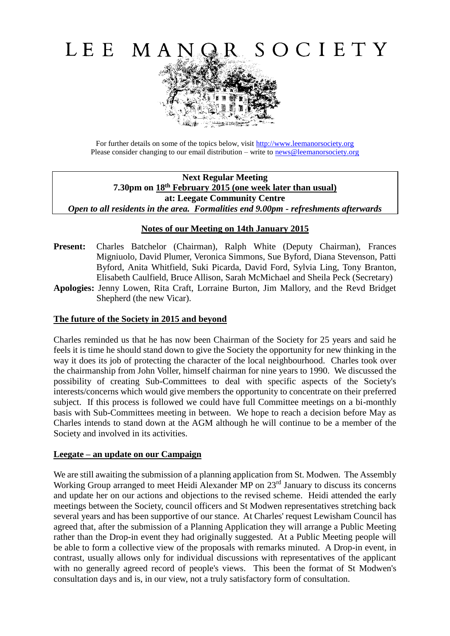

For further details on some of the topics below, visit [http://www.leemanorsociety.org](http://www.leemanorsociety.org/) Please consider changing to our email distribution – write to [news@leemanorsociety.org](mailto:news@leemanorsociety.org)

**Next Regular Meeting 7.30pm on 18th February 2015 (one week later than usual) at: Leegate Community Centre** *Open to all residents in the area. Formalities end 9.00pm - refreshments afterwards*

# **Notes of our Meeting on 14th January 2015**

- Present: Charles Batchelor (Chairman), Ralph White (Deputy Chairman), Frances Migniuolo, David Plumer, Veronica Simmons, Sue Byford, Diana Stevenson, Patti Byford, Anita Whitfield, Suki Picarda, David Ford, Sylvia Ling, Tony Branton, Elisabeth Caulfield, Bruce Allison, Sarah McMichael and Sheila Peck (Secretary)
- **Apologies:** Jenny Lowen, Rita Craft, Lorraine Burton, Jim Mallory, and the Revd Bridget Shepherd (the new Vicar).

#### **The future of the Society in 2015 and beyond**

Charles reminded us that he has now been Chairman of the Society for 25 years and said he feels it is time he should stand down to give the Society the opportunity for new thinking in the way it does its job of protecting the character of the local neighbourhood. Charles took over the chairmanship from John Voller, himself chairman for nine years to 1990. We discussed the possibility of creating Sub-Committees to deal with specific aspects of the Society's interests/concerns which would give members the opportunity to concentrate on their preferred subject. If this process is followed we could have full Committee meetings on a bi-monthly basis with Sub-Committees meeting in between. We hope to reach a decision before May as Charles intends to stand down at the AGM although he will continue to be a member of the Society and involved in its activities.

#### **Leegate – an update on our Campaign**

We are still awaiting the submission of a planning application from St. Modwen. The Assembly Working Group arranged to meet Heidi Alexander MP on 23<sup>rd</sup> January to discuss its concerns and update her on our actions and objections to the revised scheme. Heidi attended the early meetings between the Society, council officers and St Modwen representatives stretching back several years and has been supportive of our stance. At Charles' request Lewisham Council has agreed that, after the submission of a Planning Application they will arrange a Public Meeting rather than the Drop-in event they had originally suggested. At a Public Meeting people will be able to form a collective view of the proposals with remarks minuted. A Drop-in event, in contrast, usually allows only for individual discussions with representatives of the applicant with no generally agreed record of people's views. This been the format of St Modwen's consultation days and is, in our view, not a truly satisfactory form of consultation.